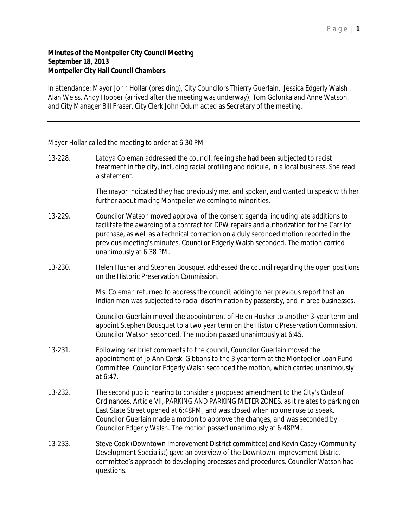## **Minutes of the Montpelier City Council Meeting September 18, 2013 Montpelier City Hall Council Chambers**

In attendance: Mayor John Hollar (presiding), City Councilors Thierry Guerlain, Jessica Edgerly Walsh , Alan Weiss, Andy Hooper (arrived after the meeting was underway), Tom Golonka and Anne Watson, and City Manager Bill Fraser. City Clerk John Odum acted as Secretary of the meeting.

Mayor Hollar called the meeting to order at 6:30 PM.

13-228. Latoya Coleman addressed the council, feeling she had been subjected to racist treatment in the city, including racial profiling and ridicule, in a local business. She read a statement.

> The mayor indicated they had previously met and spoken, and wanted to speak with her further about making Montpelier welcoming to minorities.

- 13-229. Councilor Watson moved approval of the consent agenda, including late additions to facilitate the awarding of a contract for DPW repairs and authorization for the Carr lot purchase, as well as a technical correction on a duly seconded motion reported in the previous meeting's minutes. Councilor Edgerly Walsh seconded. The motion carried unanimously at 6:38 PM.
- 13-230. Helen Husher and Stephen Bousquet addressed the council regarding the open positions on the Historic Preservation Commission.

Ms. Coleman returned to address the council, adding to her previous report that an Indian man was subjected to racial discrimination by passersby, and in area businesses.

Councilor Guerlain moved the appointment of Helen Husher to another 3-year term and appoint Stephen Bousquet to a two year term on the Historic Preservation Commission. Councilor Watson seconded. The motion passed unanimously at 6:45.

- 13-231. Following her brief comments to the council, Councilor Guerlain moved the appointment of Jo Ann Corski Gibbons to the 3 year term at the Montpelier Loan Fund Committee. Councilor Edgerly Walsh seconded the motion, which carried unanimously at 6:47.
- 13-232. The second public hearing to consider a proposed amendment to the City's Code of Ordinances, Article VII, PARKING AND PARKING METER ZONES, as it relates to parking on East State Street opened at 6:48PM, and was closed when no one rose to speak. Councilor Guerlain made a motion to approve the changes, and was seconded by Councilor Edgerly Walsh. The motion passed unanimously at 6:48PM.
- 13-233. Steve Cook (Downtown Improvement District committee) and Kevin Casey (Community Development Specialist) gave an overview of the Downtown Improvement District committee's approach to developing processes and procedures. Councilor Watson had questions.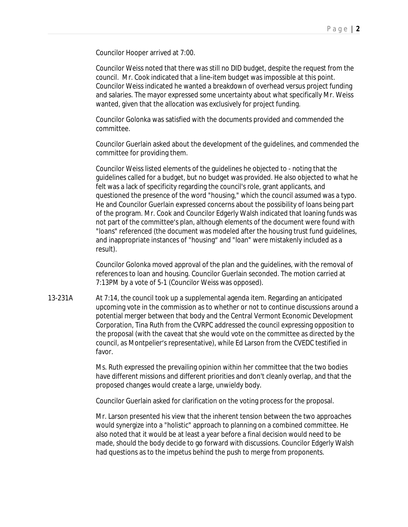Councilor Hooper arrived at 7:00.

Councilor Weiss noted that there was still no DID budget, despite the request from the council. Mr. Cook indicated that a line-item budget was impossible at this point. Councilor Weiss indicated he wanted a breakdown of overhead versus project funding and salaries. The mayor expressed some uncertainty about what specifically Mr. Weiss wanted, given that the allocation was exclusively for project funding.

Councilor Golonka was satisfied with the documents provided and commended the committee.

Councilor Guerlain asked about the development of the guidelines, and commended the committee for providing them.

Councilor Weiss listed elements of the guidelines he objected to - noting that the guidelines called for a budget, but no budget was provided. He also objected to what he felt was a lack of specificity regarding the council's role, grant applicants, and questioned the presence of the word "housing," which the council assumed was a typo. He and Councilor Guerlain expressed concerns about the possibility of loans being part of the program. Mr. Cook and Councilor Edgerly Walsh indicated that loaning funds was not part of the committee's plan, although elements of the document were found with "loans" referenced (the document was modeled after the housing trust fund guidelines, and inappropriate instances of "housing" and "loan" were mistakenly included as a result).

Councilor Golonka moved approval of the plan and the guidelines, with the removal of references to loan and housing. Councilor Guerlain seconded. The motion carried at 7:13PM by a vote of 5-1 (Councilor Weiss was opposed).

13-231A At 7:14, the council took up a supplemental agenda item. Regarding an anticipated upcoming vote in the commission as to whether or not to continue discussions around a potential merger between that body and the Central Vermont Economic Development Corporation, Tina Ruth from the CVRPC addressed the council expressing opposition to the proposal (with the caveat that she would vote on the committee as directed by the council, as Montpelier's representative), while Ed Larson from the CVEDC testified in favor.

> Ms. Ruth expressed the prevailing opinion within her committee that the two bodies have different missions and different priorities and don't cleanly overlap, and that the proposed changes would create a large, unwieldy body.

Councilor Guerlain asked for clarification on the voting process for the proposal.

Mr. Larson presented his view that the inherent tension between the two approaches would synergize into a "holistic" approach to planning on a combined committee. He also noted that it would be at least a year before a final decision would need to be made, should the body decide to go forward with discussions. Councilor Edgerly Walsh had questions as to the impetus behind the push to merge from proponents.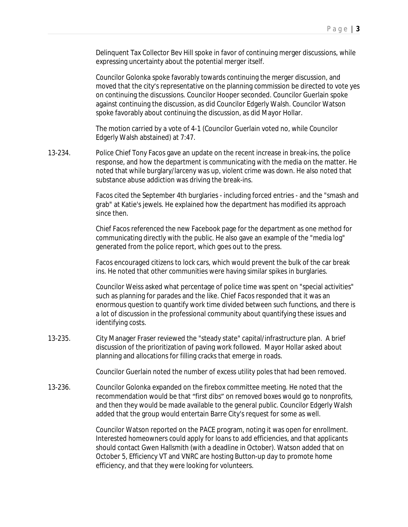Delinquent Tax Collector Bev Hill spoke in favor of continuing merger discussions, while expressing uncertainty about the potential merger itself.

Councilor Golonka spoke favorably towards continuing the merger discussion, and moved that the city's representative on the planning commission be directed to vote yes on continuing the discussions. Councilor Hooper seconded. Councilor Guerlain spoke against continuing the discussion, as did Councilor Edgerly Walsh. Councilor Watson spoke favorably about continuing the discussion, as did Mayor Hollar.

The motion carried by a vote of 4-1 (Councilor Guerlain voted no, while Councilor Edgerly Walsh abstained) at 7:47.

13-234. Police Chief Tony Facos gave an update on the recent increase in break-ins, the police response, and how the department is communicating with the media on the matter. He noted that while burglary/larceny was up, violent crime was down. He also noted that substance abuse addiction was driving the break-ins.

> Facos cited the September 4th burglaries - including forced entries - and the "smash and grab" at Katie's jewels. He explained how the department has modified its approach since then.

Chief Facos referenced the new Facebook page for the department as one method for communicating directly with the public. He also gave an example of the "media log" generated from the police report, which goes out to the press.

Facos encouraged citizens to lock cars, which would prevent the bulk of the car break ins. He noted that other communities were having similar spikes in burglaries.

Councilor Weiss asked what percentage of police time was spent on "special activities" such as planning for parades and the like. Chief Facos responded that it was an enormous question to quantify work time divided between such functions, and there is a lot of discussion in the professional community about quantifying these issues and identifying costs.

13-235. City Manager Fraser reviewed the "steady state" capital/infrastructure plan. A brief discussion of the prioritization of paving work followed. Mayor Hollar asked about planning and allocations for filling cracks that emerge in roads.

Councilor Guerlain noted the number of excess utility poles that had been removed.

13-236. Councilor Golonka expanded on the firebox committee meeting. He noted that the recommendation would be that "first dibs" on removed boxes would go to nonprofits, and then they would be made available to the general public. Councilor Edgerly Walsh added that the group would entertain Barre City's request for some as well.

> Councilor Watson reported on the PACE program, noting it was open for enrollment. Interested homeowners could apply for loans to add efficiencies, and that applicants should contact Gwen Hallsmith (with a deadline in October). Watson added that on October 5, Efficiency VT and VNRC are hosting Button-up day to promote home efficiency, and that they were looking for volunteers.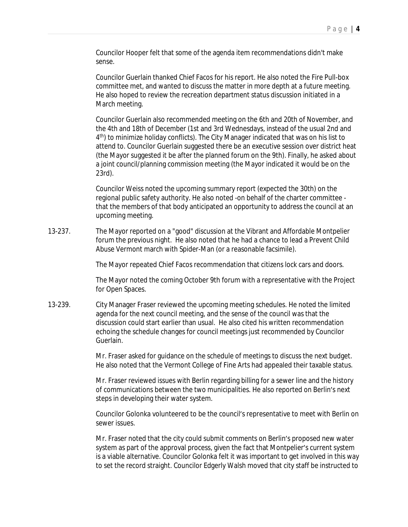Councilor Hooper felt that some of the agenda item recommendations didn't make sense.

Councilor Guerlain thanked Chief Facos for his report. He also noted the Fire Pull-box committee met, and wanted to discuss the matter in more depth at a future meeting. He also hoped to review the recreation department status discussion initiated in a March meeting.

Councilor Guerlain also recommended meeting on the 6th and 20th of November, and the 4th and 18th of December (1st and 3rd Wednesdays, instead of the usual 2nd and 4<sup>th</sup>) to minimize holiday conflicts). The City Manager indicated that was on his list to attend to. Councilor Guerlain suggested there be an executive session over district heat (the Mayor suggested it be after the planned forum on the 9th). Finally, he asked about a joint council/planning commission meeting (the Mayor indicated it would be on the 23rd).

Councilor Weiss noted the upcoming summary report (expected the 30th) on the regional public safety authority. He also noted -on behalf of the charter committee that the members of that body anticipated an opportunity to address the council at an upcoming meeting.

13-237. The Mayor reported on a "good" discussion at the Vibrant and Affordable Montpelier forum the previous night. He also noted that he had a chance to lead a Prevent Child Abuse Vermont march with Spider-Man (or a reasonable facsimile).

The Mayor repeated Chief Facos recommendation that citizens lock cars and doors.

The Mayor noted the coming October 9th forum with a representative with the Project for Open Spaces.

13-239. City Manager Fraser reviewed the upcoming meeting schedules. He noted the limited agenda for the next council meeting, and the sense of the council was that the discussion could start earlier than usual. He also cited his written recommendation echoing the schedule changes for council meetings just recommended by Councilor Guerlain.

> Mr. Fraser asked for guidance on the schedule of meetings to discuss the next budget. He also noted that the Vermont College of Fine Arts had appealed their taxable status.

> Mr. Fraser reviewed issues with Berlin regarding billing for a sewer line and the history of communications between the two municipalities. He also reported on Berlin's next steps in developing their water system.

Councilor Golonka volunteered to be the council's representative to meet with Berlin on sewer issues.

Mr. Fraser noted that the city could submit comments on Berlin's proposed new water system as part of the approval process, given the fact that Montpelier's current system is a viable alternative. Councilor Golonka felt it was important to get involved in this way to set the record straight. Councilor Edgerly Walsh moved that city staff be instructed to